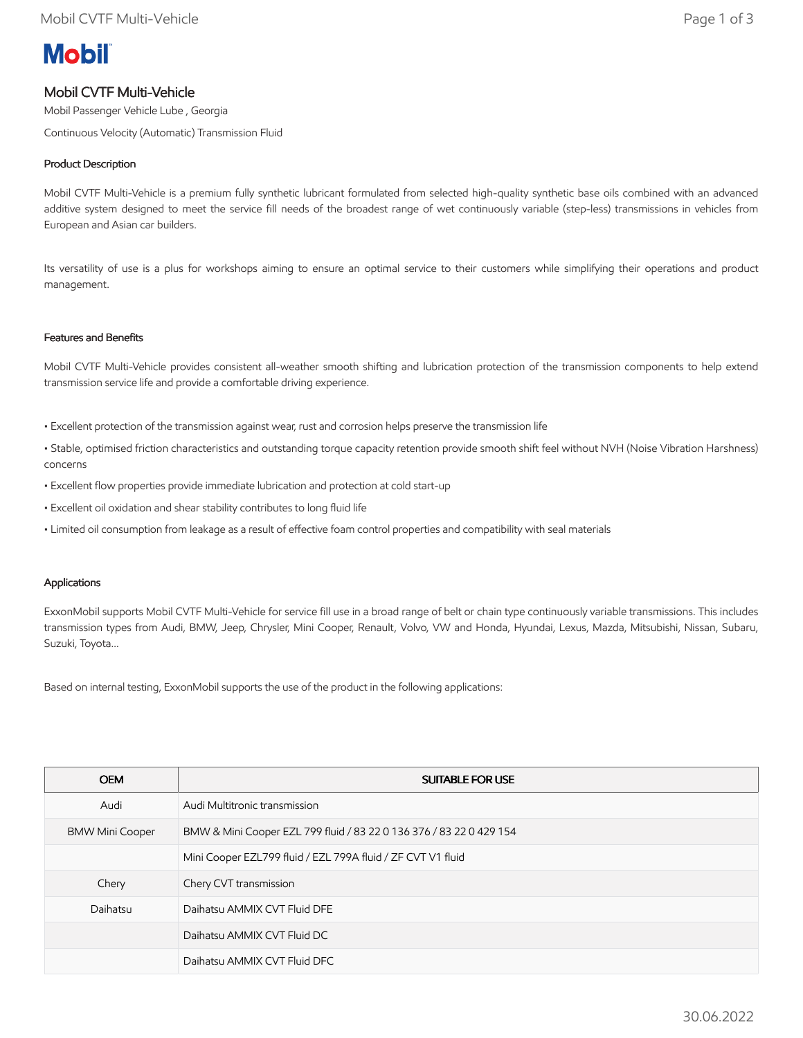# **Mobil**

## Mobil CVTF Multi-Vehicle

Mobil Passenger Vehicle Lube , Georgia

Continuous Velocity (Automatic) Transmission Fluid

### Product Description

Mobil CVTF Multi-Vehicle is a premium fully synthetic lubricant formulated from selected high-quality synthetic base oils combined with an advanced additive system designed to meet the service fill needs of the broadest range of wet continuously variable (step-less) transmissions in vehicles from European and Asian car builders.

Its versatility of use is a plus for workshops aiming to ensure an optimal service to their customers while simplifying their operations and product management.

#### Features and Benefits

Mobil CVTF Multi-Vehicle provides consistent all-weather smooth shifting and lubrication protection of the transmission components to help extend transmission service life and provide a comfortable driving experience.

- Excellent protection of the transmission against wear, rust and corrosion helps preserve the transmission life
- Stable, optimised friction characteristics and outstanding torque capacity retention provide smooth shift feel without NVH (Noise Vibration Harshness) concerns
- Excellent flow properties provide immediate lubrication and protection at cold start-up
- Excellent oil oxidation and shear stability contributes to long fluid life
- Limited oil consumption from leakage as a result of effective foam control properties and compatibility with seal materials

#### Applications

ExxonMobil supports Mobil CVTF Multi-Vehicle for service fill use in a broad range of belt or chain type continuously variable transmissions. This includes transmission types from Audi, BMW, Jeep, Chrysler, Mini Cooper, Renault, Volvo, VW and Honda, Hyundai, Lexus, Mazda, Mitsubishi, Nissan, Subaru, Suzuki, Toyota...

Based on internal testing, ExxonMobil supports the use of the product in the following applications:

| <b>OEM</b>             | <b>SUITABLE FOR USE</b>                                             |
|------------------------|---------------------------------------------------------------------|
| Audi                   | Audi Multitronic transmission                                       |
| <b>BMW Mini Cooper</b> | BMW & Mini Cooper EZL 799 fluid / 83 22 0 136 376 / 83 22 0 429 154 |
|                        | Mini Cooper EZL799 fluid / EZL 799A fluid / ZF CVT V1 fluid         |
| Chery                  | Chery CVT transmission                                              |
| Daihatsu               | Daihatsu AMMIX CVT Fluid DFE                                        |
|                        | Daihatsu AMMIX CVT Fluid DC                                         |
|                        | Daihatsu AMMIX CVT Fluid DFC                                        |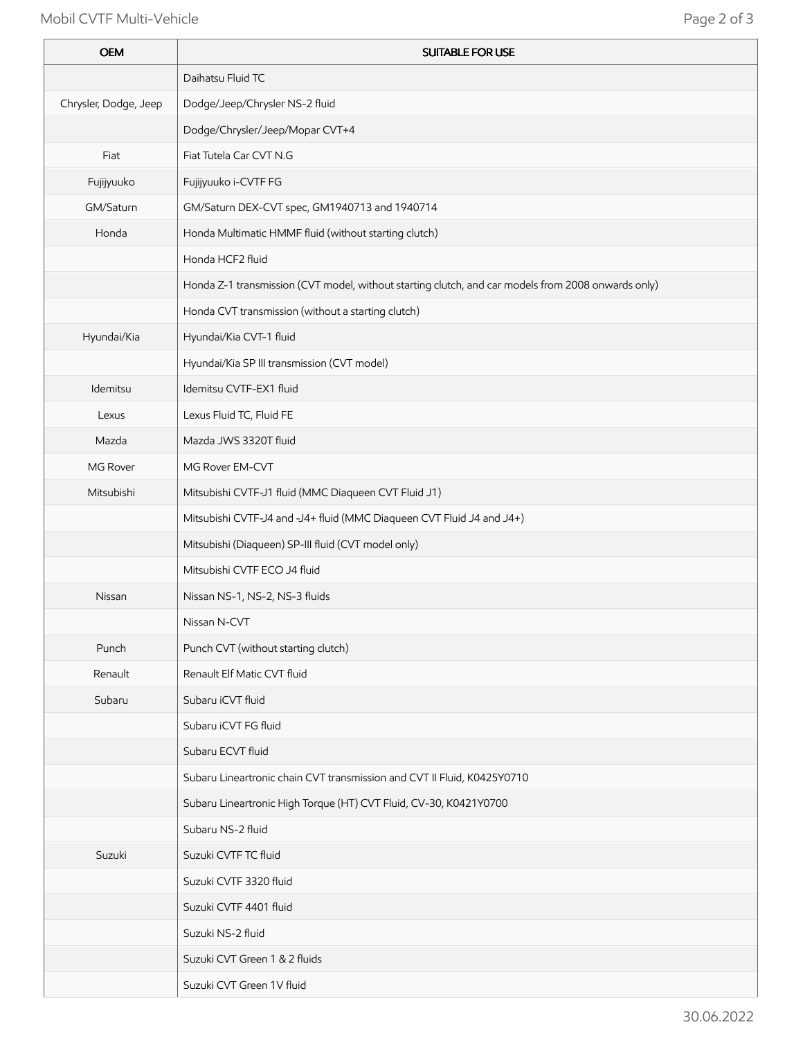## Mobil CVTF Multi-Vehicle **Page 2 of 3**

Ŷ.

| <b>OEM</b>            | <b>SUITABLE FOR USE</b>                                                                            |
|-----------------------|----------------------------------------------------------------------------------------------------|
|                       | Daihatsu Fluid TC                                                                                  |
| Chrysler, Dodge, Jeep | Dodge/Jeep/Chrysler NS-2 fluid                                                                     |
|                       | Dodge/Chrysler/Jeep/Mopar CVT+4                                                                    |
| Fiat                  | Fiat Tutela Car CVT N.G                                                                            |
| Fujijyuuko            | Fujijyuuko i-CVTF FG                                                                               |
| GM/Saturn             | GM/Saturn DEX-CVT spec, GM1940713 and 1940714                                                      |
| Honda                 | Honda Multimatic HMMF fluid (without starting clutch)                                              |
|                       | Honda HCF2 fluid                                                                                   |
|                       | Honda Z-1 transmission (CVT model, without starting clutch, and car models from 2008 onwards only) |
|                       | Honda CVT transmission (without a starting clutch)                                                 |
| Hyundai/Kia           | Hyundai/Kia CVT-1 fluid                                                                            |
|                       | Hyundai/Kia SP III transmission (CVT model)                                                        |
| Idemitsu              | Idemitsu CVTF-EX1 fluid                                                                            |
| Lexus                 | Lexus Fluid TC, Fluid FE                                                                           |
| Mazda                 | Mazda JWS 3320T fluid                                                                              |
| MG Rover              | MG Rover EM-CVT                                                                                    |
| Mitsubishi            | Mitsubishi CVTF-J1 fluid (MMC Diaqueen CVT Fluid J1)                                               |
|                       | Mitsubishi CVTF-J4 and -J4+ fluid (MMC Diaqueen CVT Fluid J4 and J4+)                              |
|                       | Mitsubishi (Diaqueen) SP-III fluid (CVT model only)                                                |
|                       | Mitsubishi CVTF ECO J4 fluid                                                                       |
| Nissan                | Nissan NS-1, NS-2, NS-3 fluids                                                                     |
|                       | Nissan N-CVT                                                                                       |
| Punch                 | Punch CVT (without starting clutch)                                                                |
| Renault               | Renault Elf Matic CVT fluid                                                                        |
| Subaru                | Subaru iCVT fluid                                                                                  |
|                       | Subaru iCVT FG fluid                                                                               |
|                       | Subaru ECVT fluid                                                                                  |
|                       | Subaru Lineartronic chain CVT transmission and CVT II Fluid, K0425Y0710                            |
|                       | Subaru Lineartronic High Torque (HT) CVT Fluid, CV-30, K0421Y0700                                  |
|                       | Subaru NS-2 fluid                                                                                  |
| Suzuki                | Suzuki CVTF TC fluid                                                                               |
|                       | Suzuki CVTF 3320 fluid                                                                             |
|                       | Suzuki CVTF 4401 fluid                                                                             |
|                       | Suzuki NS-2 fluid                                                                                  |
|                       | Suzuki CVT Green 1 & 2 fluids                                                                      |
|                       | Suzuki CVT Green 1V fluid                                                                          |